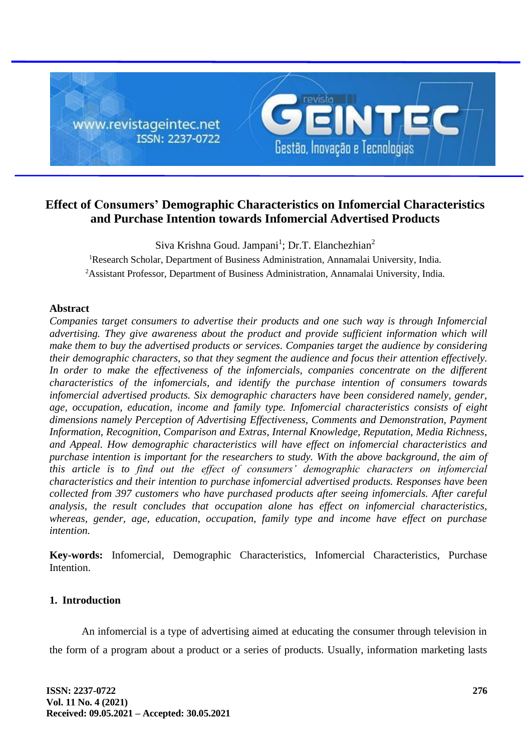

# **Effect of Consumers' Demographic Characteristics on Infomercial Characteristics and Purchase Intention towards Infomercial Advertised Products**

Siva Krishna Goud. Jampani<sup>1</sup>; Dr.T. Elanchezhian<sup>2</sup> <sup>1</sup>Research Scholar, Department of Business Administration, Annamalai University, India. <sup>2</sup>Assistant Professor, Department of Business Administration, Annamalai University, India.

# **Abstract**

*Companies target consumers to advertise their products and one such way is through Infomercial advertising. They give awareness about the product and provide sufficient information which will make them to buy the advertised products or services. Companies target the audience by considering their demographic characters, so that they segment the audience and focus their attention effectively.*  In order to make the effectiveness of the infomercials, companies concentrate on the different *characteristics of the infomercials, and identify the purchase intention of consumers towards infomercial advertised products. Six demographic characters have been considered namely, gender, age, occupation, education, income and family type. Infomercial characteristics consists of eight dimensions namely Perception of Advertising Effectiveness, Comments and Demonstration, Payment Information, Recognition, Comparison and Extras, Internal Knowledge, Reputation, Media Richness, and Appeal. How demographic characteristics will have effect on infomercial characteristics and purchase intention is important for the researchers to study. With the above background, the aim of this article is to find out the effect of consumers' demographic characters on infomercial characteristics and their intention to purchase infomercial advertised products. Responses have been collected from 397 customers who have purchased products after seeing infomercials. After careful analysis, the result concludes that occupation alone has effect on infomercial characteristics, whereas, gender, age, education, occupation, family type and income have effect on purchase intention.*

**Key-words:** Infomercial, Demographic Characteristics, Infomercial Characteristics, Purchase Intention.

# **1. Introduction**

An infomercial is a type of advertising aimed at educating the consumer through television in the form of a program about a product or a series of products. Usually, information marketing lasts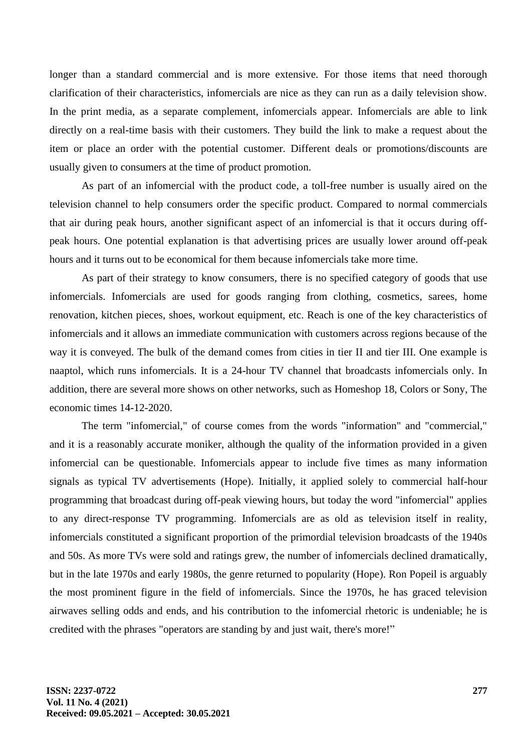longer than a standard commercial and is more extensive. For those items that need thorough clarification of their characteristics, infomercials are nice as they can run as a daily television show. In the print media, as a separate complement, infomercials appear. Infomercials are able to link directly on a real-time basis with their customers. They build the link to make a request about the item or place an order with the potential customer. Different deals or promotions/discounts are usually given to consumers at the time of product promotion.

As part of an infomercial with the product code, a toll-free number is usually aired on the television channel to help consumers order the specific product. Compared to normal commercials that air during peak hours, another significant aspect of an infomercial is that it occurs during offpeak hours. One potential explanation is that advertising prices are usually lower around off-peak hours and it turns out to be economical for them because infomercials take more time.

As part of their strategy to know consumers, there is no specified category of goods that use infomercials. Infomercials are used for goods ranging from clothing, cosmetics, sarees, home renovation, kitchen pieces, shoes, workout equipment, etc. Reach is one of the key characteristics of infomercials and it allows an immediate communication with customers across regions because of the way it is conveyed. The bulk of the demand comes from cities in tier II and tier III. One example is naaptol, which runs infomercials. It is a 24-hour TV channel that broadcasts infomercials only. In addition, there are several more shows on other networks, such as Homeshop 18, Colors or Sony, The economic times 14-12-2020.

The term "infomercial," of course comes from the words "information" and "commercial," and it is a reasonably accurate moniker, although the quality of the information provided in a given infomercial can be questionable. Infomercials appear to include five times as many information signals as typical TV advertisements (Hope). Initially, it applied solely to commercial half-hour programming that broadcast during off-peak viewing hours, but today the word "infomercial" applies to any direct-response TV programming. Infomercials are as old as television itself in reality, infomercials constituted a significant proportion of the primordial television broadcasts of the 1940s and 50s. As more TVs were sold and ratings grew, the number of infomercials declined dramatically, but in the late 1970s and early 1980s, the genre returned to popularity (Hope). Ron Popeil is arguably the most prominent figure in the field of infomercials. Since the 1970s, he has graced television airwaves selling odds and ends, and his contribution to the infomercial rhetoric is undeniable; he is credited with the phrases "operators are standing by and just wait, there's more!"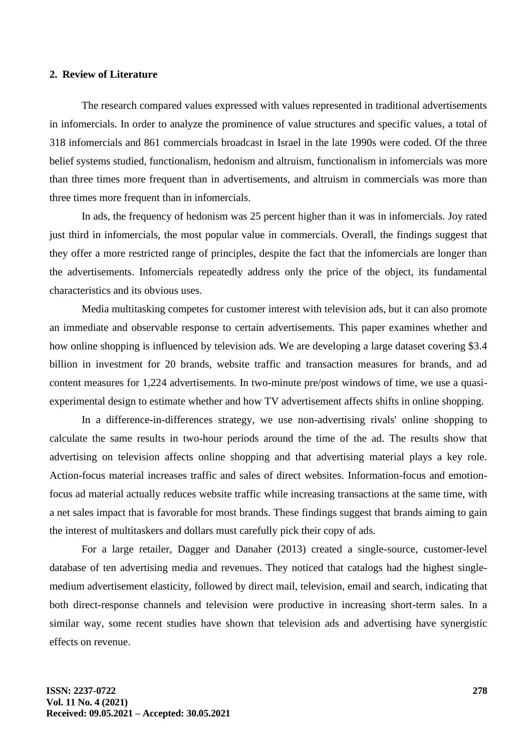## **2. Review of Literature**

The research compared values expressed with values represented in traditional advertisements in infomercials. In order to analyze the prominence of value structures and specific values, a total of 318 infomercials and 861 commercials broadcast in Israel in the late 1990s were coded. Of the three belief systems studied, functionalism, hedonism and altruism, functionalism in infomercials was more than three times more frequent than in advertisements, and altruism in commercials was more than three times more frequent than in infomercials.

In ads, the frequency of hedonism was 25 percent higher than it was in infomercials. Joy rated just third in infomercials, the most popular value in commercials. Overall, the findings suggest that they offer a more restricted range of principles, despite the fact that the infomercials are longer than the advertisements. Infomercials repeatedly address only the price of the object, its fundamental characteristics and its obvious uses.

Media multitasking competes for customer interest with television ads, but it can also promote an immediate and observable response to certain advertisements. This paper examines whether and how online shopping is influenced by television ads. We are developing a large dataset covering \$3.4 billion in investment for 20 brands, website traffic and transaction measures for brands, and ad content measures for 1,224 advertisements. In two-minute pre/post windows of time, we use a quasiexperimental design to estimate whether and how TV advertisement affects shifts in online shopping.

In a difference-in-differences strategy, we use non-advertising rivals' online shopping to calculate the same results in two-hour periods around the time of the ad. The results show that advertising on television affects online shopping and that advertising material plays a key role. Action-focus material increases traffic and sales of direct websites. Information-focus and emotionfocus ad material actually reduces website traffic while increasing transactions at the same time, with a net sales impact that is favorable for most brands. These findings suggest that brands aiming to gain the interest of multitaskers and dollars must carefully pick their copy of ads.

For a large retailer, Dagger and Danaher (2013) created a single-source, customer-level database of ten advertising media and revenues. They noticed that catalogs had the highest singlemedium advertisement elasticity, followed by direct mail, television, email and search, indicating that both direct-response channels and television were productive in increasing short-term sales. In a similar way, some recent studies have shown that television ads and advertising have synergistic effects on revenue.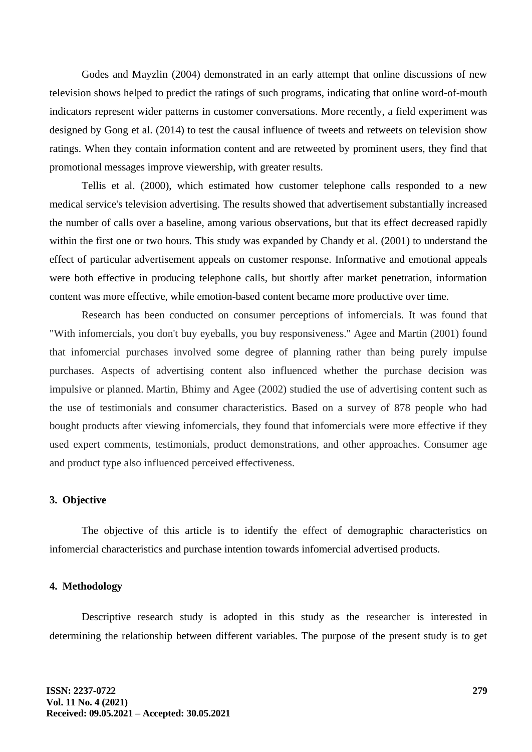Godes and Mayzlin (2004) demonstrated in an early attempt that online discussions of new television shows helped to predict the ratings of such programs, indicating that online word-of-mouth indicators represent wider patterns in customer conversations. More recently, a field experiment was designed by Gong et al. (2014) to test the causal influence of tweets and retweets on television show ratings. When they contain information content and are retweeted by prominent users, they find that promotional messages improve viewership, with greater results.

Tellis et al. (2000), which estimated how customer telephone calls responded to a new medical service's television advertising. The results showed that advertisement substantially increased the number of calls over a baseline, among various observations, but that its effect decreased rapidly within the first one or two hours. This study was expanded by Chandy et al. (2001) to understand the effect of particular advertisement appeals on customer response. Informative and emotional appeals were both effective in producing telephone calls, but shortly after market penetration, information content was more effective, while emotion-based content became more productive over time.

Research has been conducted on consumer perceptions of infomercials. It was found that "With infomercials, you don't buy eyeballs, you buy responsiveness." Agee and Martin (2001) found that infomercial purchases involved some degree of planning rather than being purely impulse purchases. Aspects of advertising content also influenced whether the purchase decision was impulsive or planned. Martin, Bhimy and Agee (2002) studied the use of advertising content such as the use of testimonials and consumer characteristics. Based on a survey of 878 people who had bought products after viewing infomercials, they found that infomercials were more effective if they used expert comments, testimonials, product demonstrations, and other approaches. Consumer age and product type also influenced perceived effectiveness.

#### **3. Objective**

The objective of this article is to identify the effect of demographic characteristics on infomercial characteristics and purchase intention towards infomercial advertised products.

## **4. Methodology**

Descriptive research study is adopted in this study as the researcher is interested in determining the relationship between different variables. The purpose of the present study is to get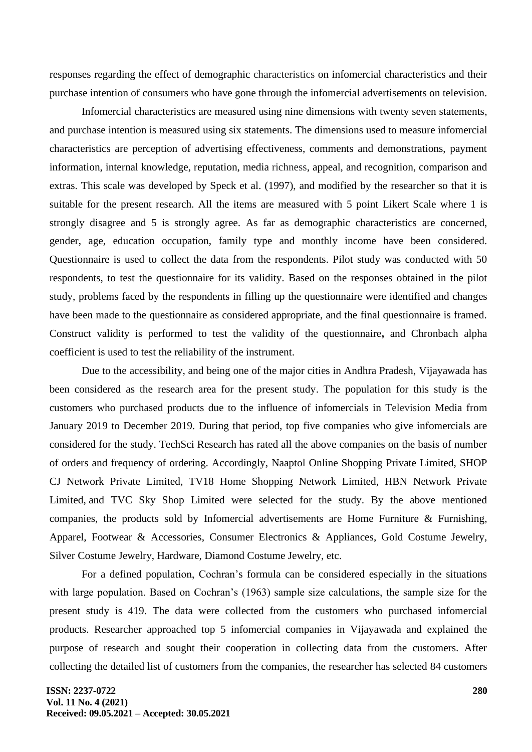responses regarding the effect of demographic characteristics on infomercial characteristics and their purchase intention of consumers who have gone through the infomercial advertisements on television.

Infomercial characteristics are measured using nine dimensions with twenty seven statements, and purchase intention is measured using six statements. The dimensions used to measure infomercial characteristics are perception of advertising effectiveness, comments and demonstrations, payment information, internal knowledge, reputation, media richness, appeal, and recognition, comparison and extras. This scale was developed by Speck et al. (1997), and modified by the researcher so that it is suitable for the present research. All the items are measured with 5 point Likert Scale where 1 is strongly disagree and 5 is strongly agree. As far as demographic characteristics are concerned, gender, age, education occupation, family type and monthly income have been considered. Questionnaire is used to collect the data from the respondents. Pilot study was conducted with 50 respondents, to test the questionnaire for its validity. Based on the responses obtained in the pilot study, problems faced by the respondents in filling up the questionnaire were identified and changes have been made to the questionnaire as considered appropriate, and the final questionnaire is framed. Construct validity is performed to test the validity of the questionnaire**,** and Chronbach alpha coefficient is used to test the reliability of the instrument.

Due to the accessibility, and being one of the major cities in Andhra Pradesh, Vijayawada has been considered as the research area for the present study. The population for this study is the customers who purchased products due to the influence of infomercials in Television Media from January 2019 to December 2019. During that period, top five companies who give infomercials are considered for the study. TechSci Research has rated all the above companies on the basis of number of orders and frequency of ordering. Accordingly, Naaptol Online Shopping Private Limited, SHOP CJ Network Private Limited, TV18 Home Shopping Network Limited, HBN Network Private Limited, and TVC Sky Shop Limited were selected for the study. By the above mentioned companies, the products sold by Infomercial advertisements are Home Furniture & Furnishing, Apparel, Footwear & Accessories, Consumer Electronics & Appliances, Gold Costume Jewelry, Silver Costume Jewelry, Hardware, Diamond Costume Jewelry, etc.

For a defined population, Cochran's formula can be considered especially in the situations with large population. Based on Cochran's (1963) sample size calculations, the sample size for the present study is 419. The data were collected from the customers who purchased infomercial products. Researcher approached top 5 infomercial companies in Vijayawada and explained the purpose of research and sought their cooperation in collecting data from the customers. After collecting the detailed list of customers from the companies, the researcher has selected 84 customers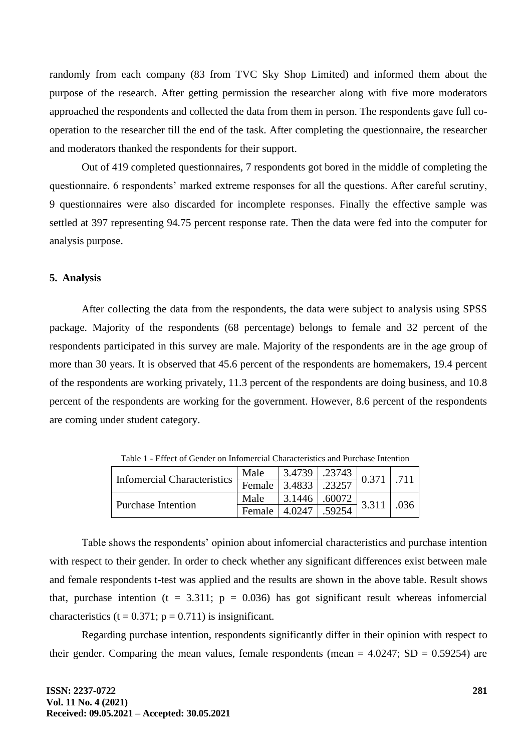randomly from each company (83 from TVC Sky Shop Limited) and informed them about the purpose of the research. After getting permission the researcher along with five more moderators approached the respondents and collected the data from them in person. The respondents gave full cooperation to the researcher till the end of the task. After completing the questionnaire, the researcher and moderators thanked the respondents for their support.

Out of 419 completed questionnaires, 7 respondents got bored in the middle of completing the questionnaire. 6 respondents' marked extreme responses for all the questions. After careful scrutiny, 9 questionnaires were also discarded for incomplete responses. Finally the effective sample was settled at 397 representing 94.75 percent response rate. Then the data were fed into the computer for analysis purpose.

# **5. Analysis**

After collecting the data from the respondents, the data were subject to analysis using SPSS package. Majority of the respondents (68 percentage) belongs to female and 32 percent of the respondents participated in this survey are male. Majority of the respondents are in the age group of more than 30 years. It is observed that 45.6 percent of the respondents are homemakers, 19.4 percent of the respondents are working privately, 11.3 percent of the respondents are doing business, and 10.8 percent of the respondents are working for the government. However, 8.6 percent of the respondents are coming under student category.

| <b>Infomercial Characteristics</b> | Male   | 3.4739 | .23743 | 0.371 |      |
|------------------------------------|--------|--------|--------|-------|------|
|                                    | Female | 3.4833 | .23257 |       |      |
| <b>Purchase Intention</b>          | Male   | 3.1446 | .60072 | 3.311 | .036 |
|                                    | Female | 4.0247 | .59254 |       |      |

Table 1 - Effect of Gender on Infomercial Characteristics and Purchase Intention

Table shows the respondents' opinion about infomercial characteristics and purchase intention with respect to their gender. In order to check whether any significant differences exist between male and female respondents t-test was applied and the results are shown in the above table. Result shows that, purchase intention ( $t = 3.311$ ;  $p = 0.036$ ) has got significant result whereas infomercial characteristics (t =  $0.371$ ; p =  $0.711$ ) is insignificant.

Regarding purchase intention, respondents significantly differ in their opinion with respect to their gender. Comparing the mean values, female respondents (mean  $= 4.0247$ ; SD  $= 0.59254$ ) are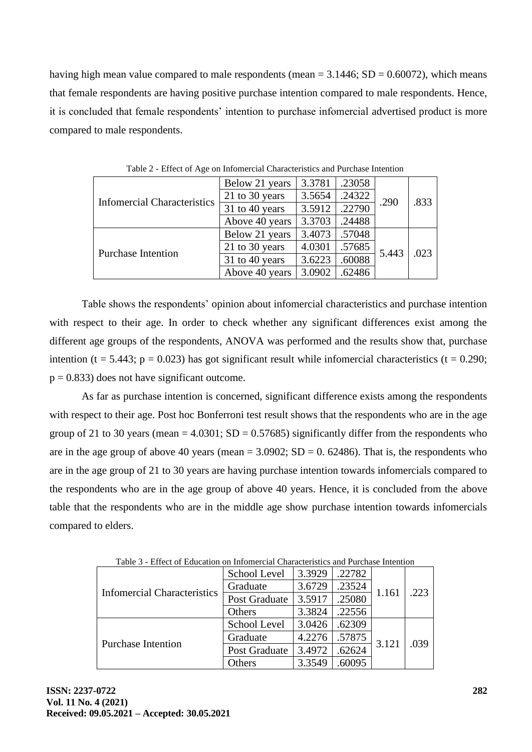having high mean value compared to male respondents (mean  $= 3.1446$ ; SD  $= 0.60072$ ), which means that female respondents are having positive purchase intention compared to male respondents. Hence, it is concluded that female respondents' intention to purchase infomercial advertised product is more compared to male respondents.

| <b>Informercial Characteristics</b> | Below 21 years | 3.3781 | .23058 | .290  | .833 |
|-------------------------------------|----------------|--------|--------|-------|------|
|                                     | 21 to 30 years | 3.5654 | .24322 |       |      |
|                                     | 31 to 40 years | 3.5912 | .22790 |       |      |
|                                     | Above 40 years | 3.3703 | .24488 |       |      |
| <b>Purchase Intention</b>           | Below 21 years | 3.4073 | .57048 | 5.443 | .023 |
|                                     | 21 to 30 years | 4.0301 | .57685 |       |      |
|                                     | 31 to 40 years | 3.6223 | .60088 |       |      |
|                                     | Above 40 years | 3.0902 | .62486 |       |      |

Table 2 - Effect of Age on Infomercial Characteristics and Purchase Intention

Table shows the respondents' opinion about infomercial characteristics and purchase intention with respect to their age. In order to check whether any significant differences exist among the different age groups of the respondents, ANOVA was performed and the results show that, purchase intention (t = 5.443;  $p = 0.023$ ) has got significant result while infomercial characteristics (t = 0.290;  $p = 0.833$ ) does not have significant outcome.

As far as purchase intention is concerned, significant difference exists among the respondents with respect to their age. Post hoc Bonferroni test result shows that the respondents who are in the age group of 21 to 30 years (mean =  $4.0301$ ; SD =  $0.57685$ ) significantly differ from the respondents who are in the age group of above 40 years (mean  $= 3.0902$ ; SD  $= 0.62486$ ). That is, the respondents who are in the age group of 21 to 30 years are having purchase intention towards infomercials compared to the respondents who are in the age group of above 40 years. Hence, it is concluded from the above table that the respondents who are in the middle age show purchase intention towards infomercials compared to elders.

| <b>Infomercial Characteristics</b> | School Level  | 3.3929 | .22782 |       | .223 |
|------------------------------------|---------------|--------|--------|-------|------|
|                                    | Graduate      | 3.6729 | .23524 | 1.161 |      |
|                                    | Post Graduate | 3.5917 | .25080 |       |      |
|                                    | Others        | 3.3824 | .22556 |       |      |
| <b>Purchase Intention</b>          | School Level  | 3.0426 | .62309 |       | .039 |
|                                    | Graduate      | 4.2276 | .57875 | 3.121 |      |
|                                    | Post Graduate | 3.4972 | .62624 |       |      |
|                                    | <b>Others</b> | 3.3549 | .60095 |       |      |

Table 3 - Effect of Education on Infomercial Characteristics and Purchase Intention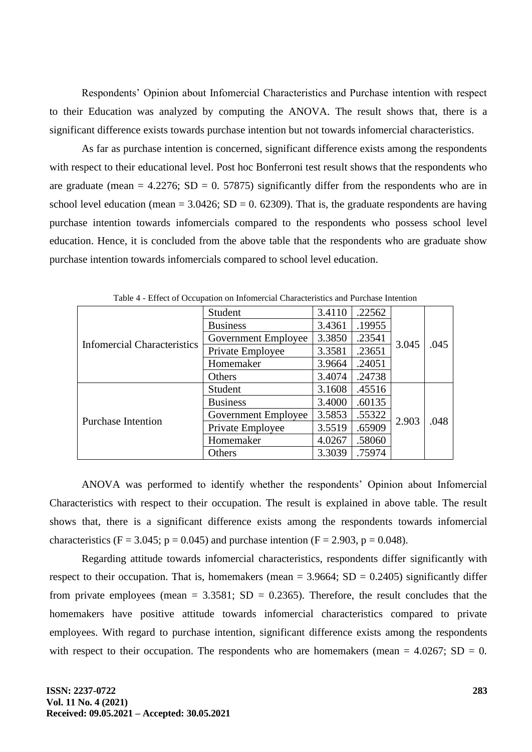Respondents' Opinion about Infomercial Characteristics and Purchase intention with respect to their Education was analyzed by computing the ANOVA. The result shows that, there is a significant difference exists towards purchase intention but not towards infomercial characteristics.

As far as purchase intention is concerned, significant difference exists among the respondents with respect to their educational level. Post hoc Bonferroni test result shows that the respondents who are graduate (mean  $= 4.2276$ ; SD  $= 0.57875$ ) significantly differ from the respondents who are in school level education (mean =  $3.0426$ ; SD = 0. 62309). That is, the graduate respondents are having purchase intention towards infomercials compared to the respondents who possess school level education. Hence, it is concluded from the above table that the respondents who are graduate show purchase intention towards infomercials compared to school level education.

| able residence of occupation on information characteristics and I archaeo intention |                     |        |        |       |      |  |
|-------------------------------------------------------------------------------------|---------------------|--------|--------|-------|------|--|
| <b>Infomercial Characteristics</b>                                                  | Student             | 3.4110 | .22562 |       |      |  |
|                                                                                     | <b>Business</b>     | 3.4361 | .19955 |       | .045 |  |
|                                                                                     | Government Employee | 3.3850 | .23541 | 3.045 |      |  |
|                                                                                     | Private Employee    | 3.3581 | .23651 |       |      |  |
|                                                                                     | Homemaker           | 3.9664 | .24051 |       |      |  |
|                                                                                     | Others              | 3.4074 | .24738 |       |      |  |
| <b>Purchase Intention</b>                                                           | Student             | 3.1608 | .45516 |       |      |  |
|                                                                                     | <b>Business</b>     | 3.4000 | .60135 |       |      |  |
|                                                                                     | Government Employee | 3.5853 | .55322 | 2.903 | .048 |  |
|                                                                                     | Private Employee    | 3.5519 | .65909 |       |      |  |
|                                                                                     | Homemaker           | 4.0267 | .58060 |       |      |  |
|                                                                                     | Others              | 3.3039 | .75974 |       |      |  |

Table 4 - Effect of Occupation on Infomercial Characteristics and Purchase Intention

ANOVA was performed to identify whether the respondents' Opinion about Infomercial Characteristics with respect to their occupation. The result is explained in above table. The result shows that, there is a significant difference exists among the respondents towards infomercial characteristics (F = 3.045; p = 0.045) and purchase intention (F = 2.903, p = 0.048).

Regarding attitude towards infomercial characteristics, respondents differ significantly with respect to their occupation. That is, homemakers (mean =  $3.9664$ ; SD =  $0.2405$ ) significantly differ from private employees (mean =  $3.3581$ ; SD = 0.2365). Therefore, the result concludes that the homemakers have positive attitude towards infomercial characteristics compared to private employees. With regard to purchase intention, significant difference exists among the respondents with respect to their occupation. The respondents who are homemakers (mean  $= 4.0267$ ; SD  $= 0$ .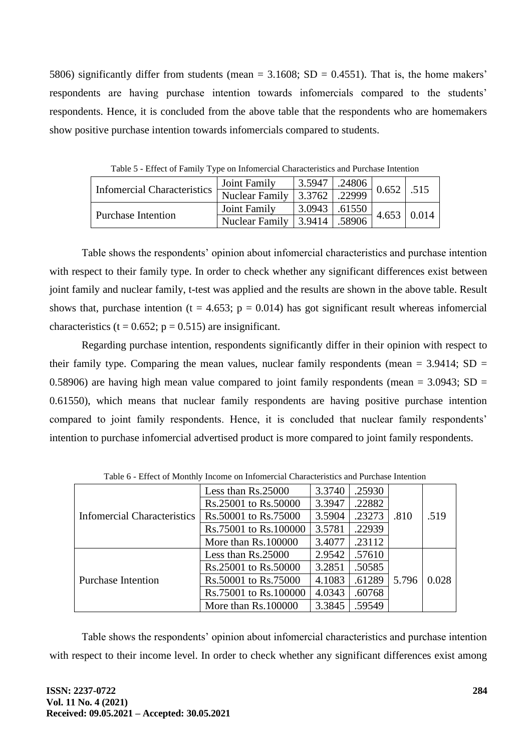5806) significantly differ from students (mean  $= 3.1608$ ; SD  $= 0.4551$ ). That is, the home makers' respondents are having purchase intention towards infomercials compared to the students' respondents. Hence, it is concluded from the above table that the respondents who are homemakers show positive purchase intention towards infomercials compared to students.

| Twore complete or I will proper on information characteristic and I are international |                           |        |                |  |                    |  |
|---------------------------------------------------------------------------------------|---------------------------|--------|----------------|--|--------------------|--|
| Infomercial Characteristics   Nuclear Family 3.3762                                   | Joint Family              | 3.5947 | $\vert$ .24806 |  | $0.652$ .515       |  |
|                                                                                       |                           |        | $\sqrt{22999}$ |  |                    |  |
| <b>Purchase Intention</b>                                                             | Joint Family              | 3.0943 | .61550         |  | $4.653 \mid 0.014$ |  |
|                                                                                       | Nuclear Family $ 3.9414 $ |        | .58906         |  |                    |  |

Table 5 - Effect of Family Type on Infomercial Characteristics and Purchase Intention

Table shows the respondents' opinion about infomercial characteristics and purchase intention with respect to their family type. In order to check whether any significant differences exist between joint family and nuclear family, t-test was applied and the results are shown in the above table. Result shows that, purchase intention (t = 4.653;  $p = 0.014$ ) has got significant result whereas infomercial characteristics (t =  $0.652$ ; p =  $0.515$ ) are insignificant.

Regarding purchase intention, respondents significantly differ in their opinion with respect to their family type. Comparing the mean values, nuclear family respondents (mean  $= 3.9414$ ; SD  $=$ 0.58906) are having high mean value compared to joint family respondents (mean =  $3.0943$ ; SD = 0.61550), which means that nuclear family respondents are having positive purchase intention compared to joint family respondents. Hence, it is concluded that nuclear family respondents' intention to purchase infomercial advertised product is more compared to joint family respondents.

| Table of Effect of Niohany Income on Information Characteristics and I archase Intention |                       |        |        |       |       |  |
|------------------------------------------------------------------------------------------|-----------------------|--------|--------|-------|-------|--|
| Infomercial Characteristics                                                              | Less than Rs.25000    | 3.3740 | .25930 |       |       |  |
|                                                                                          | Rs.25001 to Rs.50000  | 3.3947 | .22882 |       |       |  |
|                                                                                          | Rs.50001 to Rs.75000  | 3.5904 | .23273 | .810  | .519  |  |
|                                                                                          | Rs.75001 to Rs.100000 | 3.5781 | .22939 |       |       |  |
|                                                                                          | More than Rs.100000   | 3.4077 | .23112 |       |       |  |
| <b>Purchase Intention</b>                                                                | Less than Rs.25000    | 2.9542 | .57610 |       |       |  |
|                                                                                          | Rs.25001 to Rs.50000  | 3.2851 | .50585 |       |       |  |
|                                                                                          | Rs.50001 to Rs.75000  | 4.1083 | .61289 | 5.796 | 0.028 |  |
|                                                                                          | Rs.75001 to Rs.100000 | 4.0343 | .60768 |       |       |  |
|                                                                                          | More than Rs.100000   | 3.3845 | .59549 |       |       |  |

Table 6 - Effect of Monthly Income on Infomercial Characteristics and Purchase Intention

Table shows the respondents' opinion about infomercial characteristics and purchase intention with respect to their income level. In order to check whether any significant differences exist among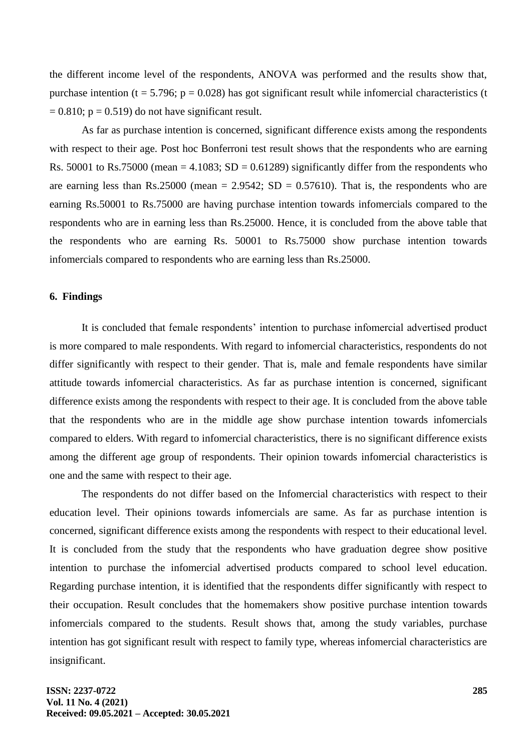the different income level of the respondents, ANOVA was performed and the results show that, purchase intention (t = 5.796; p = 0.028) has got significant result while infomercial characteristics (t  $= 0.810$ ; p = 0.519) do not have significant result.

As far as purchase intention is concerned, significant difference exists among the respondents with respect to their age. Post hoc Bonferroni test result shows that the respondents who are earning Rs. 50001 to Rs.75000 (mean = 4.1083; SD = 0.61289) significantly differ from the respondents who are earning less than Rs.25000 (mean = 2.9542; SD = 0.57610). That is, the respondents who are earning Rs.50001 to Rs.75000 are having purchase intention towards infomercials compared to the respondents who are in earning less than Rs.25000. Hence, it is concluded from the above table that the respondents who are earning Rs. 50001 to Rs.75000 show purchase intention towards infomercials compared to respondents who are earning less than Rs.25000.

## **6. Findings**

It is concluded that female respondents' intention to purchase infomercial advertised product is more compared to male respondents. With regard to infomercial characteristics, respondents do not differ significantly with respect to their gender. That is, male and female respondents have similar attitude towards infomercial characteristics. As far as purchase intention is concerned, significant difference exists among the respondents with respect to their age. It is concluded from the above table that the respondents who are in the middle age show purchase intention towards infomercials compared to elders. With regard to infomercial characteristics, there is no significant difference exists among the different age group of respondents. Their opinion towards infomercial characteristics is one and the same with respect to their age.

The respondents do not differ based on the Infomercial characteristics with respect to their education level. Their opinions towards infomercials are same. As far as purchase intention is concerned, significant difference exists among the respondents with respect to their educational level. It is concluded from the study that the respondents who have graduation degree show positive intention to purchase the infomercial advertised products compared to school level education. Regarding purchase intention, it is identified that the respondents differ significantly with respect to their occupation. Result concludes that the homemakers show positive purchase intention towards infomercials compared to the students. Result shows that, among the study variables, purchase intention has got significant result with respect to family type, whereas infomercial characteristics are insignificant.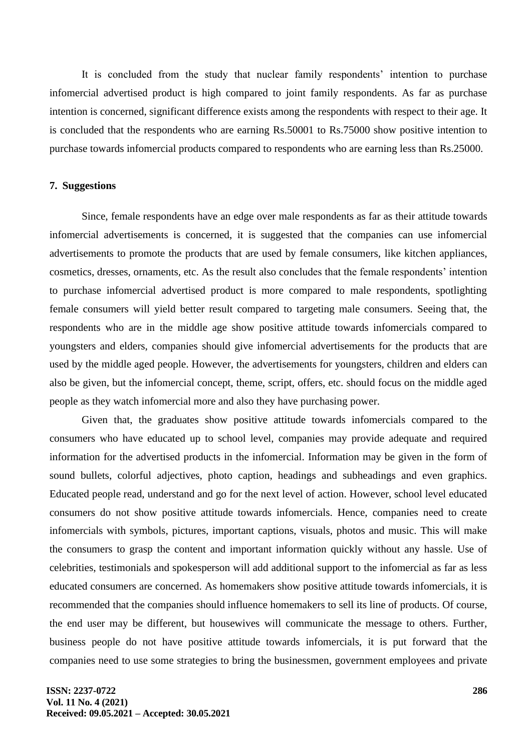It is concluded from the study that nuclear family respondents' intention to purchase infomercial advertised product is high compared to joint family respondents. As far as purchase intention is concerned, significant difference exists among the respondents with respect to their age. It is concluded that the respondents who are earning Rs.50001 to Rs.75000 show positive intention to purchase towards infomercial products compared to respondents who are earning less than Rs.25000.

## **7. Suggestions**

Since, female respondents have an edge over male respondents as far as their attitude towards infomercial advertisements is concerned, it is suggested that the companies can use infomercial advertisements to promote the products that are used by female consumers, like kitchen appliances, cosmetics, dresses, ornaments, etc. As the result also concludes that the female respondents' intention to purchase infomercial advertised product is more compared to male respondents, spotlighting female consumers will yield better result compared to targeting male consumers. Seeing that, the respondents who are in the middle age show positive attitude towards infomercials compared to youngsters and elders, companies should give infomercial advertisements for the products that are used by the middle aged people. However, the advertisements for youngsters, children and elders can also be given, but the infomercial concept, theme, script, offers, etc. should focus on the middle aged people as they watch infomercial more and also they have purchasing power.

Given that, the graduates show positive attitude towards infomercials compared to the consumers who have educated up to school level, companies may provide adequate and required information for the advertised products in the infomercial. Information may be given in the form of sound bullets, colorful adjectives, photo caption, headings and subheadings and even graphics. Educated people read, understand and go for the next level of action. However, school level educated consumers do not show positive attitude towards infomercials. Hence, companies need to create infomercials with symbols, pictures, important captions, visuals, photos and music. This will make the consumers to grasp the content and important information quickly without any hassle. Use of celebrities, testimonials and spokesperson will add additional support to the infomercial as far as less educated consumers are concerned. As homemakers show positive attitude towards infomercials, it is recommended that the companies should influence homemakers to sell its line of products. Of course, the end user may be different, but housewives will communicate the message to others. Further, business people do not have positive attitude towards infomercials, it is put forward that the companies need to use some strategies to bring the businessmen, government employees and private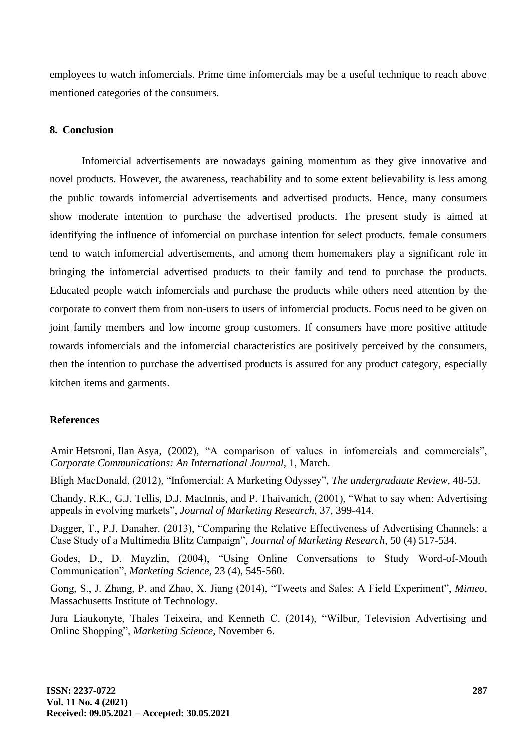employees to watch infomercials. Prime time infomercials may be a useful technique to reach above mentioned categories of the consumers.

# **8. Conclusion**

Infomercial advertisements are nowadays gaining momentum as they give innovative and novel products. However, the awareness, reachability and to some extent believability is less among the public towards infomercial advertisements and advertised products. Hence, many consumers show moderate intention to purchase the advertised products. The present study is aimed at identifying the influence of infomercial on purchase intention for select products. female consumers tend to watch infomercial advertisements, and among them homemakers play a significant role in bringing the infomercial advertised products to their family and tend to purchase the products. Educated people watch infomercials and purchase the products while others need attention by the corporate to convert them from non-users to users of infomercial products. Focus need to be given on joint family members and low income group customers. If consumers have more positive attitude towards infomercials and the infomercial characteristics are positively perceived by the consumers, then the intention to purchase the advertised products is assured for any product category, especially kitchen items and garments.

# **References**

Amir [Hetsroni,](https://www.emerald.com/insight/search?q=Amir%20Hetsroni) Ilan [Asya,](https://www.emerald.com/insight/search?q=Ilan%20Asya) (2002), "A comparison of values in infomercials and commercials", *[Corporate Communications:](https://www.emerald.com/insight/publication/issn/1356-3289) An International Journal,* 1, March.

Bligh MacDonald, (2012), "Infomercial: A Marketing Odyssey", *The undergraduate Review*, 48-53.

Chandy, R.K., G.J. Tellis, D.J. MacInnis, and P. Thaivanich, (2001), "What to say when: Advertising appeals in evolving markets", *Journal of Marketing Research*, 37, 399-414.

Dagger, T., P.J. Danaher. (2013), "Comparing the Relative Effectiveness of Advertising Channels: a Case Study of a Multimedia Blitz Campaign", *Journal of Marketing Research*, 50 (4) 517-534.

Godes, D., D. Mayzlin, (2004), "Using Online Conversations to Study Word-of-Mouth Communication", *Marketing Science,* 23 (4), 545-560.

Gong, S., J. Zhang, P. and Zhao, X. Jiang (2014), "Tweets and Sales: A Field Experiment", *Mimeo*, Massachusetts Institute of Technology.

Jura Liaukonyte, Thales Teixeira, and Kenneth C. (2014), "Wilbur, Television Advertising and Online Shopping", *Marketing Science*, November 6.